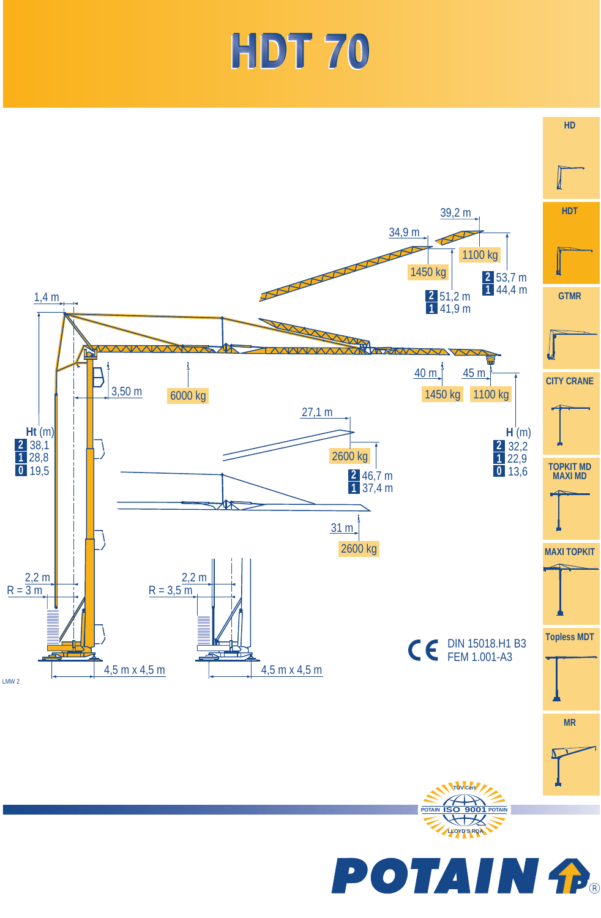## HDT 70

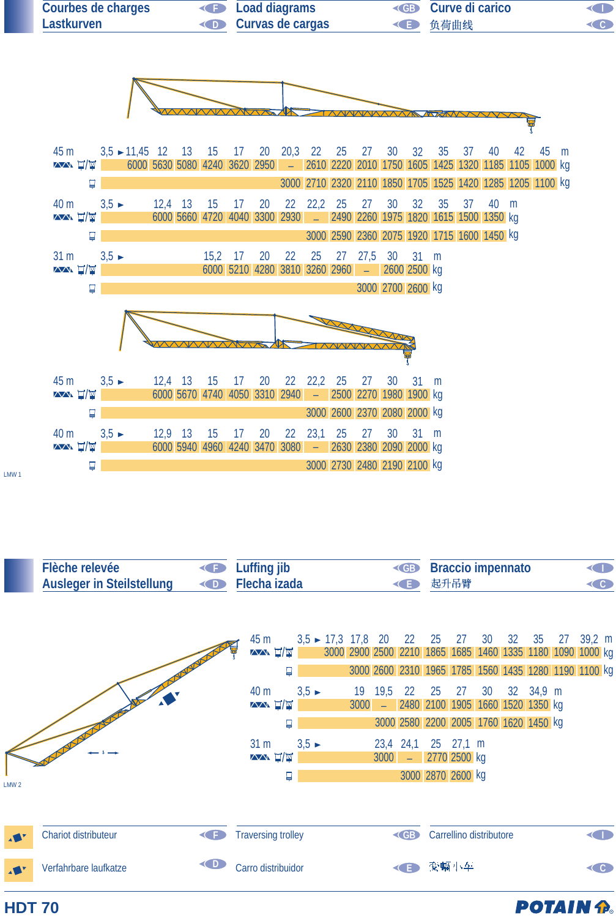

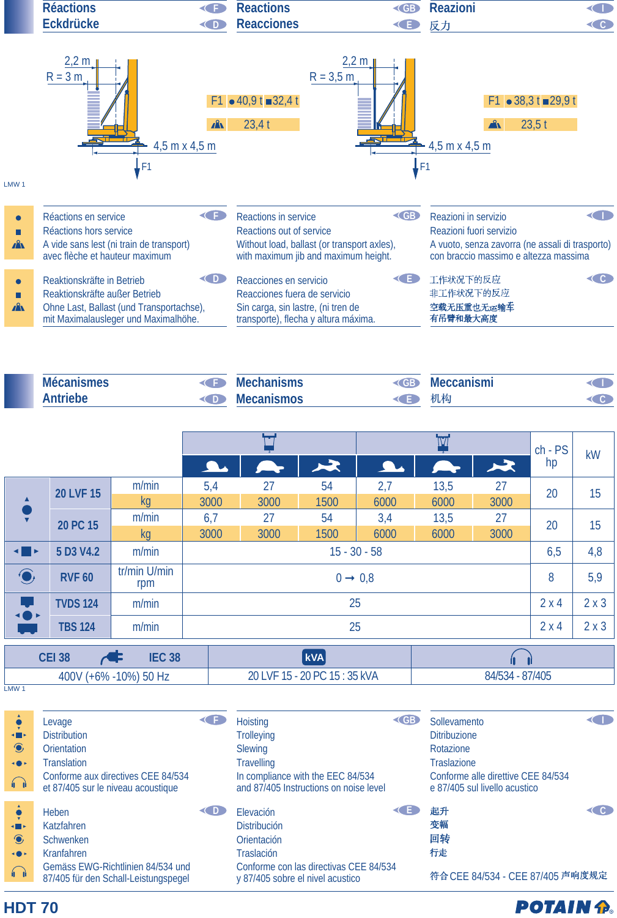

| <b>Mécanismes</b> |      | <b>Mechanisms</b> | <b>EGB</b>   | <b>Meccanismi</b> |  |
|-------------------|------|-------------------|--------------|-------------------|--|
| <b>Antriebe</b>   | ZD Z | <b>Mecanismos</b> | $\leftarrow$ | 机构                |  |

|                                                                              |                  |                     |                     |                             | <b>IV</b> |      |                 | $ch - PS$ | <b>kW</b> |     |
|------------------------------------------------------------------------------|------------------|---------------------|---------------------|-----------------------------|-----------|------|-----------------|-----------|-----------|-----|
|                                                                              |                  |                     | $\sqrt{2}$          |                             | $\star$   |      |                 | 六         | hp        |     |
| ▲                                                                            | <b>20 LVF 15</b> | m/min               | 5,4                 | 27                          | 54        | 2,7  | 13,5            | 27        | 20        | 15  |
|                                                                              |                  | <b>kg</b>           | 3000                | 3000                        | 1500      | 6000 | 6000            | 3000      |           |     |
| ₹                                                                            | 20 PC 15         | m/min               | 6,7                 | 27                          | 54        | 3,4  | 13,5            | 27        | 20        | 15  |
|                                                                              |                  | kq                  | 3000                | 3000                        | 1500      | 6000 | 6000            | 3000      |           |     |
| $\begin{array}{c} \begin{array}{c} \hline \end{array} \\ \hline \end{array}$ | 5 D3 V4.2        | m/min               | $15 - 30 - 58$      |                             |           | 6,5  | 4,8             |           |           |     |
| $\bigodot$                                                                   | <b>RVF 60</b>    | tr/min U/min<br>rpm | $0 \rightarrow 0.8$ |                             |           | 8    | 5,9             |           |           |     |
| U<br><b>+0</b>                                                               | <b>TVDS 124</b>  | m/min               |                     |                             | 25        |      |                 |           | 2x4       | 2x3 |
|                                                                              | <b>TBS 124</b>   | m/min               |                     |                             | 25        |      |                 |           | 2x4       | 2x3 |
|                                                                              |                  |                     |                     |                             |           |      |                 |           |           |     |
| <b>CEI 38</b><br><b>IEC 38</b>                                               |                  |                     |                     | <b>kVA</b>                  |           |      |                 |           |           |     |
| 400V (+6% -10%) 50 Hz                                                        |                  |                     |                     | 20 LVF 15 - 20 PC 15:35 kVA |           |      | 84/534 - 87/405 |           |           |     |

LMW<sub>1</sub>

**HDT 70**

| <b>KILL</b><br>$\bigcirc$<br>$\rightarrow$<br>$\bigcap$    | Levage<br><b>Distribution</b><br><b>Orientation</b><br><b>Translation</b><br>Conforme aux directives CEE 84/534<br>et 87/405 sur le niveau acoustique | <b>Hoisting</b><br><b>Trolleying</b><br><b>Slewing</b><br><b>Travelling</b><br>In compliance with the EEC 84/534<br>and 87/405 Instructions on noise level | CGB. | Sollevamento<br><b>Ditribuzione</b><br>Rotazione<br><b>Traslazione</b><br>Conforme alle direttive CEE 84/534<br>e 87/405 sul livello acustico |  |
|------------------------------------------------------------|-------------------------------------------------------------------------------------------------------------------------------------------------------|------------------------------------------------------------------------------------------------------------------------------------------------------------|------|-----------------------------------------------------------------------------------------------------------------------------------------------|--|
| $\blacksquare$<br>$\bigcirc$<br>$\rightarrow$<br>$\bigcap$ | Heben<br>Katzfahren<br><b>Schwenken</b><br>Kranfahren<br>Gemäss EWG-Richtlinien 84/534 und<br>87/405 für den Schall-Leistungspegel                    | Elevación<br><b>Distribución</b><br>Orientación<br><b>Traslación</b><br>Conforme con las directivas CEE 84/534<br>y 87/405 sobre el nivel acustico         |      | 起升<br>变幅<br>回转<br>行走<br>符合 CEE 84/534 - CEE 87/405 声响度规定                                                                                      |  |